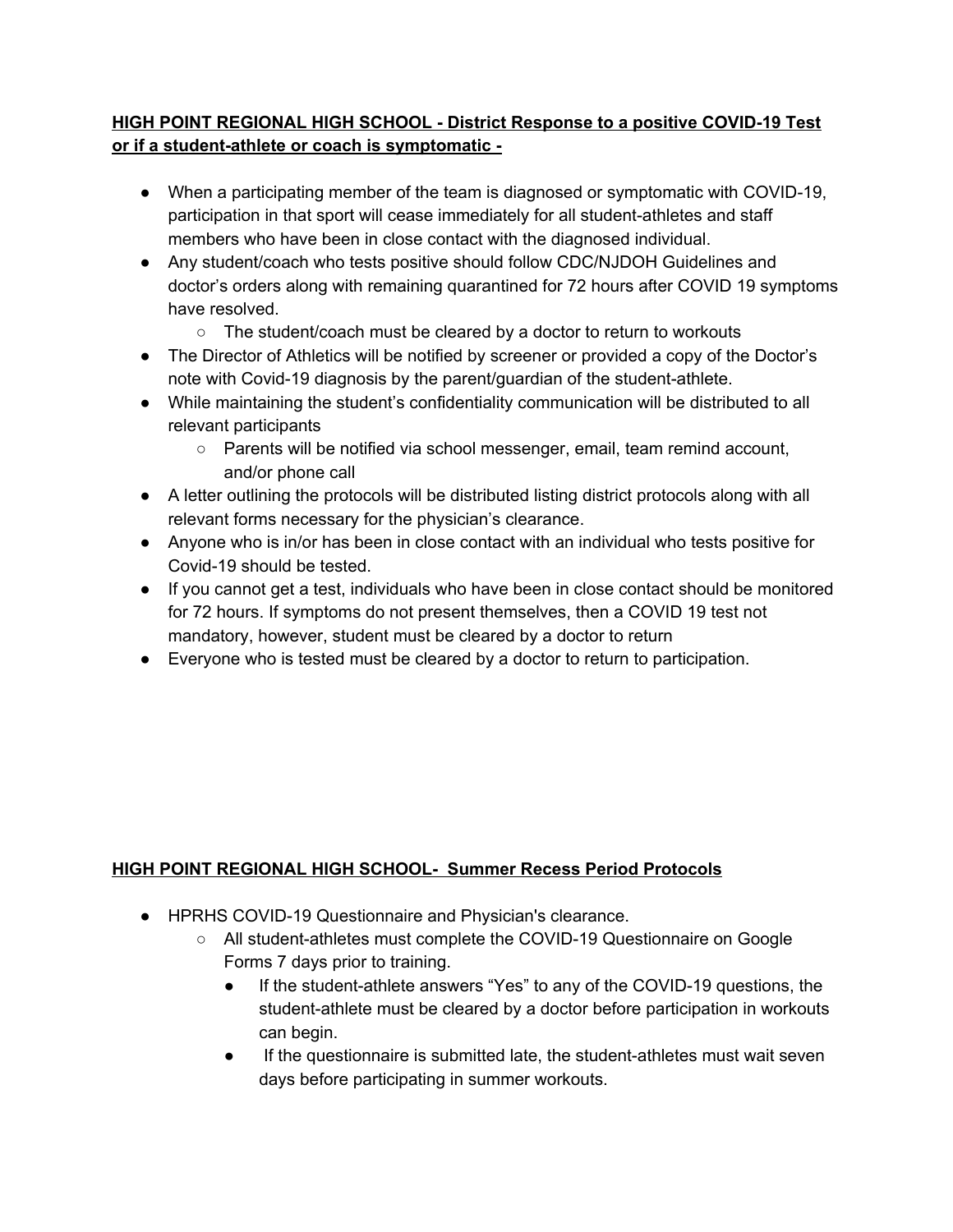# **HIGH POINT REGIONAL HIGH SCHOOL - District Response to a positive COVID-19 Test or if a student-athlete or coach is symptomatic -**

- When a participating member of the team is diagnosed or symptomatic with COVID-19, participation in that sport will cease immediately for all student-athletes and staff members who have been in close contact with the diagnosed individual.
- Any student/coach who tests positive should follow CDC/NJDOH Guidelines and doctor's orders along with remaining quarantined for 72 hours after COVID 19 symptoms have resolved.
	- The student/coach must be cleared by a doctor to return to workouts
- The Director of Athletics will be notified by screener or provided a copy of the Doctor's note with Covid-19 diagnosis by the parent/guardian of the student-athlete.
- While maintaining the student's confidentiality communication will be distributed to all relevant participants
	- Parents will be notified via school messenger, email, team remind account, and/or phone call
- A letter outlining the protocols will be distributed listing district protocols along with all relevant forms necessary for the physician's clearance.
- Anyone who is in/or has been in close contact with an individual who tests positive for Covid-19 should be tested.
- If you cannot get a test, individuals who have been in close contact should be monitored for 72 hours. If symptoms do not present themselves, then a COVID 19 test not mandatory, however, student must be cleared by a doctor to return
- Everyone who is tested must be cleared by a doctor to return to participation.

# **HIGH POINT REGIONAL HIGH SCHOOL- Summer Recess Period Protocols**

- HPRHS COVID-19 Questionnaire and Physician's clearance.
	- All student-athletes must complete the COVID-19 Questionnaire on Google Forms 7 days prior to training.
		- If the student-athlete answers "Yes" to any of the COVID-19 questions, the student-athlete must be cleared by a doctor before participation in workouts can begin.
		- If the questionnaire is submitted late, the student-athletes must wait seven days before participating in summer workouts.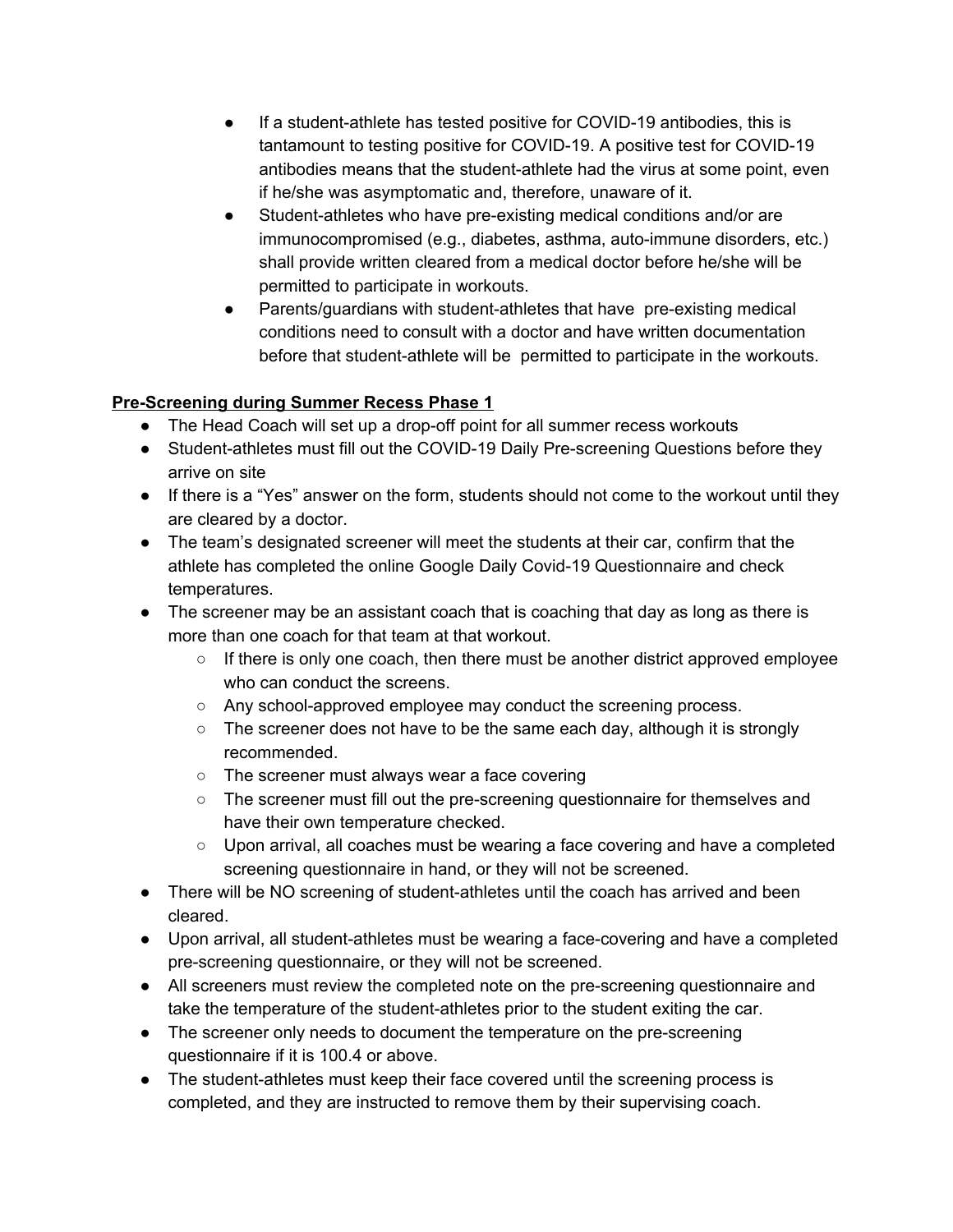- If a student-athlete has tested positive for COVID-19 antibodies, this is tantamount to testing positive for COVID-19. A positive test for COVID-19 antibodies means that the student-athlete had the virus at some point, even if he/she was asymptomatic and, therefore, unaware of it.
- Student-athletes who have pre-existing medical conditions and/or are immunocompromised (e.g., diabetes, asthma, auto-immune disorders, etc.) shall provide written cleared from a medical doctor before he/she will be permitted to participate in workouts.
- Parents/guardians with student-athletes that have pre-existing medical conditions need to consult with a doctor and have written documentation before that student-athlete will be permitted to participate in the workouts.

# **Pre-Screening during Summer Recess Phase 1**

- The Head Coach will set up a drop-off point for all summer recess workouts
- Student-athletes must fill out the COVID-19 Daily Pre-screening Questions before they arrive on site
- If there is a "Yes" answer on the form, students should not come to the workout until they are cleared by a doctor.
- The team's designated screener will meet the students at their car, confirm that the athlete has completed the online Google Daily Covid-19 Questionnaire and check temperatures.
- The screener may be an assistant coach that is coaching that day as long as there is more than one coach for that team at that workout.
	- If there is only one coach, then there must be another district approved employee who can conduct the screens.
	- Any school-approved employee may conduct the screening process.
	- $\circ$  The screener does not have to be the same each day, although it is strongly recommended.
	- The screener must always wear a face covering
	- The screener must fill out the pre-screening questionnaire for themselves and have their own temperature checked.
	- Upon arrival, all coaches must be wearing a face covering and have a completed screening questionnaire in hand, or they will not be screened.
- There will be NO screening of student-athletes until the coach has arrived and been cleared.
- Upon arrival, all student-athletes must be wearing a face-covering and have a completed pre-screening questionnaire, or they will not be screened.
- All screeners must review the completed note on the pre-screening questionnaire and take the temperature of the student-athletes prior to the student exiting the car.
- The screener only needs to document the temperature on the pre-screening questionnaire if it is 100.4 or above.
- The student-athletes must keep their face covered until the screening process is completed, and they are instructed to remove them by their supervising coach.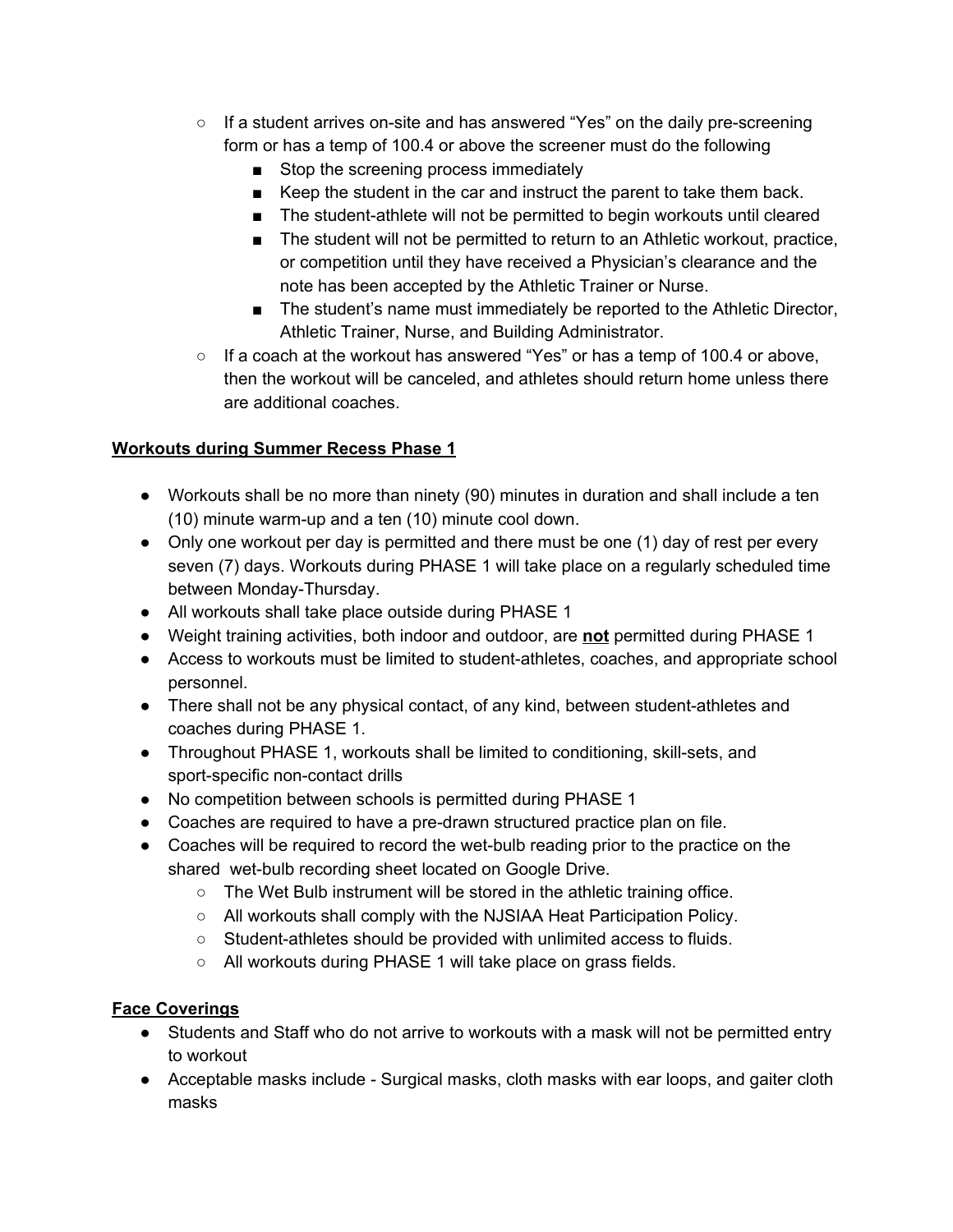- If a student arrives on-site and has answered "Yes" on the daily pre-screening form or has a temp of 100.4 or above the screener must do the following
	- Stop the screening process immediately
	- Keep the student in the car and instruct the parent to take them back.
	- The student-athlete will not be permitted to begin workouts until cleared
	- The student will not be permitted to return to an Athletic workout, practice, or competition until they have received a Physician's clearance and the note has been accepted by the Athletic Trainer or Nurse.
	- The student's name must immediately be reported to the Athletic Director, Athletic Trainer, Nurse, and Building Administrator.
- $\circ$  If a coach at the workout has answered "Yes" or has a temp of 100.4 or above, then the workout will be canceled, and athletes should return home unless there are additional coaches.

#### **Workouts during Summer Recess Phase 1**

- Workouts shall be no more than ninety (90) minutes in duration and shall include a ten (10) minute warm-up and a ten (10) minute cool down.
- Only one workout per day is permitted and there must be one (1) day of rest per every seven (7) days. Workouts during PHASE 1 will take place on a regularly scheduled time between Monday-Thursday.
- All workouts shall take place outside during PHASE 1
- Weight training activities, both indoor and outdoor, are **not** permitted during PHASE 1
- Access to workouts must be limited to student-athletes, coaches, and appropriate school personnel.
- There shall not be any physical contact, of any kind, between student-athletes and coaches during PHASE 1.
- Throughout PHASE 1, workouts shall be limited to conditioning, skill-sets, and sport-specific non-contact drills
- No competition between schools is permitted during PHASE 1
- Coaches are required to have a pre-drawn structured practice plan on file.
- Coaches will be required to record the wet-bulb reading prior to the practice on the shared wet-bulb recording sheet located on Google Drive.
	- The Wet Bulb instrument will be stored in the athletic training office.
	- All workouts shall comply with the NJSIAA Heat Participation Policy.
	- Student-athletes should be provided with unlimited access to fluids.
	- All workouts during PHASE 1 will take place on grass fields.

# **Face Coverings**

- Students and Staff who do not arrive to workouts with a mask will not be permitted entry to workout
- Acceptable masks include Surgical masks, cloth masks with ear loops, and gaiter cloth masks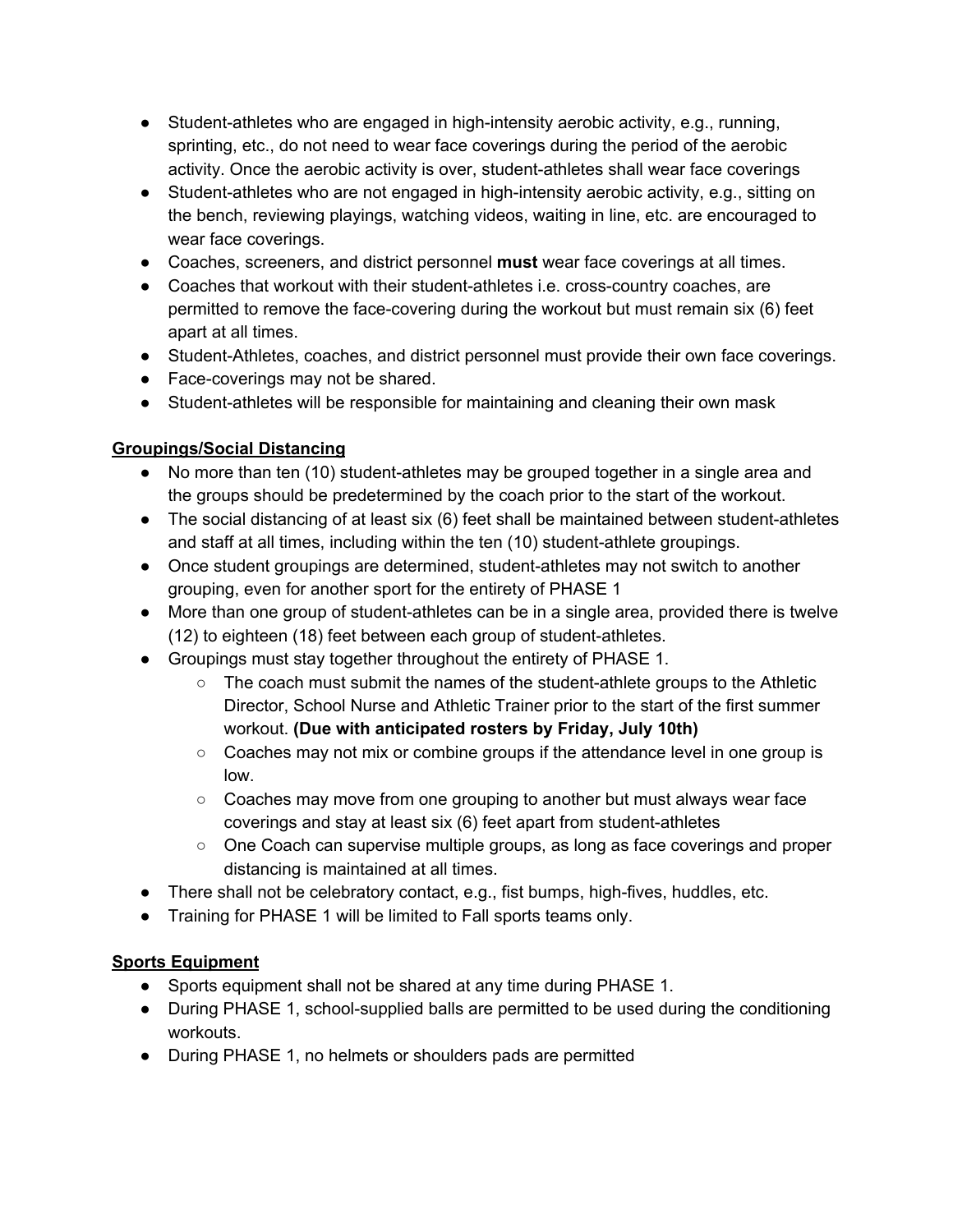- Student-athletes who are engaged in high-intensity aerobic activity, e.g., running, sprinting, etc., do not need to wear face coverings during the period of the aerobic activity. Once the aerobic activity is over, student-athletes shall wear face coverings
- Student-athletes who are not engaged in high-intensity aerobic activity, e.g., sitting on the bench, reviewing playings, watching videos, waiting in line, etc. are encouraged to wear face coverings.
- Coaches, screeners, and district personnel **must** wear face coverings at all times.
- Coaches that workout with their student-athletes i.e. cross-country coaches, are permitted to remove the face-covering during the workout but must remain six (6) feet apart at all times.
- Student-Athletes, coaches, and district personnel must provide their own face coverings.
- Face-coverings may not be shared.
- Student-athletes will be responsible for maintaining and cleaning their own mask

# **Groupings/Social Distancing**

- No more than ten (10) student-athletes may be grouped together in a single area and the groups should be predetermined by the coach prior to the start of the workout.
- The social distancing of at least six (6) feet shall be maintained between student-athletes and staff at all times, including within the ten (10) student-athlete groupings.
- Once student groupings are determined, student-athletes may not switch to another grouping, even for another sport for the entirety of PHASE 1
- More than one group of student-athletes can be in a single area, provided there is twelve (12) to eighteen (18) feet between each group of student-athletes.
- Groupings must stay together throughout the entirety of PHASE 1.
	- The coach must submit the names of the student-athlete groups to the Athletic Director, School Nurse and Athletic Trainer prior to the start of the first summer workout. **(Due with anticipated rosters by Friday, July 10th)**
	- Coaches may not mix or combine groups if the attendance level in one group is low.
	- $\circ$  Coaches may move from one grouping to another but must always wear face coverings and stay at least six (6) feet apart from student-athletes
	- One Coach can supervise multiple groups, as long as face coverings and proper distancing is maintained at all times.
- There shall not be celebratory contact, e.g., fist bumps, high-fives, huddles, etc.
- Training for PHASE 1 will be limited to Fall sports teams only.

# **Sports Equipment**

- Sports equipment shall not be shared at any time during PHASE 1.
- During PHASE 1, school-supplied balls are permitted to be used during the conditioning workouts.
- During PHASE 1, no helmets or shoulders pads are permitted